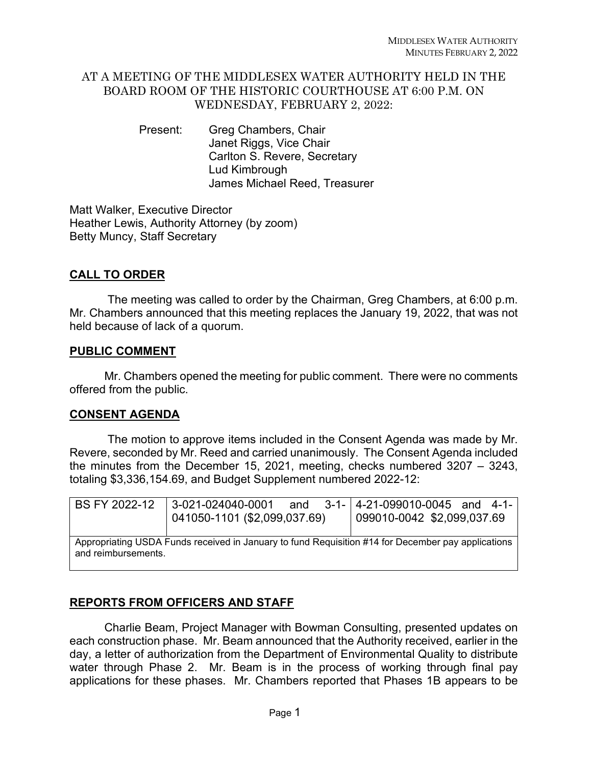## AT A MEETING OF THE MIDDLESEX WATER AUTHORITY HELD IN THE BOARD ROOM OF THE HISTORIC COURTHOUSE AT 6:00 P.M. ON WEDNESDAY, FEBRUARY 2, 2022:

Present: Greg Chambers, Chair Janet Riggs, Vice Chair Carlton S. Revere, Secretary Lud Kimbrough James Michael Reed, Treasurer

Matt Walker, Executive Director Heather Lewis, Authority Attorney (by zoom) Betty Muncy, Staff Secretary

# **CALL TO ORDER**

 The meeting was called to order by the Chairman, Greg Chambers, at 6:00 p.m. Mr. Chambers announced that this meeting replaces the January 19, 2022, that was not held because of lack of a quorum.

### **PUBLIC COMMENT**

Mr. Chambers opened the meeting for public comment. There were no comments offered from the public.

## **CONSENT AGENDA**

 The motion to approve items included in the Consent Agenda was made by Mr. Revere, seconded by Mr. Reed and carried unanimously. The Consent Agenda included the minutes from the December 15, 2021, meeting, checks numbered 3207 – 3243, totaling \$3,336,154.69, and Budget Supplement numbered 2022-12:

| BS FY 2022-12                                                                                                             | 3-021-024040-0001 and 3-1- 4-21-099010-0045 and 4-1-<br>041050-1101 (\$2,099,037.69) | 099010-0042 \$2,099,037.69 |
|---------------------------------------------------------------------------------------------------------------------------|--------------------------------------------------------------------------------------|----------------------------|
| Appropriating USDA Funds received in January to fund Requisition #14 for December pay applications<br>and reimbursements. |                                                                                      |                            |

# **REPORTS FROM OFFICERS AND STAFF**

Charlie Beam, Project Manager with Bowman Consulting, presented updates on each construction phase. Mr. Beam announced that the Authority received, earlier in the day, a letter of authorization from the Department of Environmental Quality to distribute water through Phase 2. Mr. Beam is in the process of working through final pay applications for these phases. Mr. Chambers reported that Phases 1B appears to be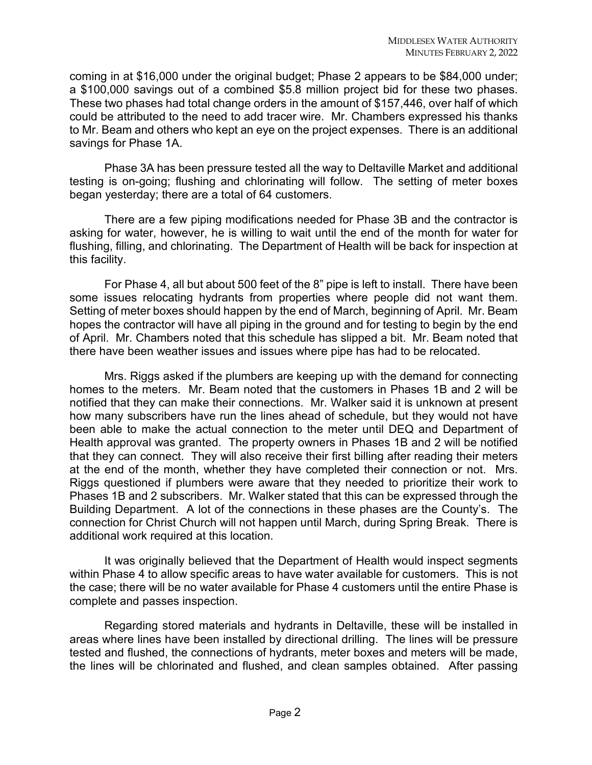coming in at \$16,000 under the original budget; Phase 2 appears to be \$84,000 under; a \$100,000 savings out of a combined \$5.8 million project bid for these two phases. These two phases had total change orders in the amount of \$157,446, over half of which could be attributed to the need to add tracer wire. Mr. Chambers expressed his thanks to Mr. Beam and others who kept an eye on the project expenses. There is an additional savings for Phase 1A.

Phase 3A has been pressure tested all the way to Deltaville Market and additional testing is on-going; flushing and chlorinating will follow. The setting of meter boxes began yesterday; there are a total of 64 customers.

There are a few piping modifications needed for Phase 3B and the contractor is asking for water, however, he is willing to wait until the end of the month for water for flushing, filling, and chlorinating. The Department of Health will be back for inspection at this facility.

For Phase 4, all but about 500 feet of the 8" pipe is left to install. There have been some issues relocating hydrants from properties where people did not want them. Setting of meter boxes should happen by the end of March, beginning of April. Mr. Beam hopes the contractor will have all piping in the ground and for testing to begin by the end of April. Mr. Chambers noted that this schedule has slipped a bit. Mr. Beam noted that there have been weather issues and issues where pipe has had to be relocated.

Mrs. Riggs asked if the plumbers are keeping up with the demand for connecting homes to the meters. Mr. Beam noted that the customers in Phases 1B and 2 will be notified that they can make their connections. Mr. Walker said it is unknown at present how many subscribers have run the lines ahead of schedule, but they would not have been able to make the actual connection to the meter until DEQ and Department of Health approval was granted. The property owners in Phases 1B and 2 will be notified that they can connect. They will also receive their first billing after reading their meters at the end of the month, whether they have completed their connection or not. Mrs. Riggs questioned if plumbers were aware that they needed to prioritize their work to Phases 1B and 2 subscribers. Mr. Walker stated that this can be expressed through the Building Department. A lot of the connections in these phases are the County's. The connection for Christ Church will not happen until March, during Spring Break. There is additional work required at this location.

It was originally believed that the Department of Health would inspect segments within Phase 4 to allow specific areas to have water available for customers. This is not the case; there will be no water available for Phase 4 customers until the entire Phase is complete and passes inspection.

Regarding stored materials and hydrants in Deltaville, these will be installed in areas where lines have been installed by directional drilling. The lines will be pressure tested and flushed, the connections of hydrants, meter boxes and meters will be made, the lines will be chlorinated and flushed, and clean samples obtained. After passing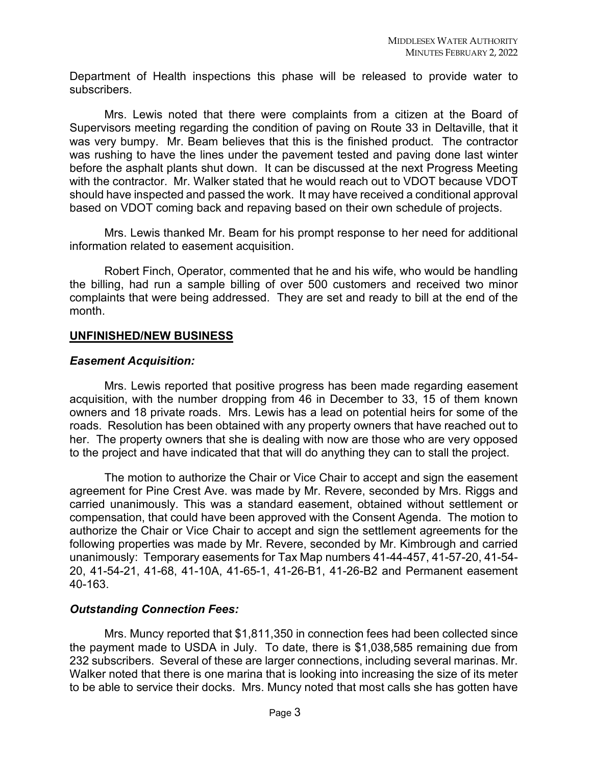Department of Health inspections this phase will be released to provide water to subscribers.

Mrs. Lewis noted that there were complaints from a citizen at the Board of Supervisors meeting regarding the condition of paving on Route 33 in Deltaville, that it was very bumpy. Mr. Beam believes that this is the finished product. The contractor was rushing to have the lines under the pavement tested and paving done last winter before the asphalt plants shut down. It can be discussed at the next Progress Meeting with the contractor. Mr. Walker stated that he would reach out to VDOT because VDOT should have inspected and passed the work. It may have received a conditional approval based on VDOT coming back and repaving based on their own schedule of projects.

Mrs. Lewis thanked Mr. Beam for his prompt response to her need for additional information related to easement acquisition.

Robert Finch, Operator, commented that he and his wife, who would be handling the billing, had run a sample billing of over 500 customers and received two minor complaints that were being addressed. They are set and ready to bill at the end of the month.

#### **UNFINISHED/NEW BUSINESS**

#### *Easement Acquisition:*

Mrs. Lewis reported that positive progress has been made regarding easement acquisition, with the number dropping from 46 in December to 33, 15 of them known owners and 18 private roads. Mrs. Lewis has a lead on potential heirs for some of the roads. Resolution has been obtained with any property owners that have reached out to her. The property owners that she is dealing with now are those who are very opposed to the project and have indicated that that will do anything they can to stall the project.

The motion to authorize the Chair or Vice Chair to accept and sign the easement agreement for Pine Crest Ave. was made by Mr. Revere, seconded by Mrs. Riggs and carried unanimously. This was a standard easement, obtained without settlement or compensation, that could have been approved with the Consent Agenda. The motion to authorize the Chair or Vice Chair to accept and sign the settlement agreements for the following properties was made by Mr. Revere, seconded by Mr. Kimbrough and carried unanimously: Temporary easements for Tax Map numbers 41-44-457, 41-57-20, 41-54- 20, 41-54-21, 41-68, 41-10A, 41-65-1, 41-26-B1, 41-26-B2 and Permanent easement 40-163.

#### *Outstanding Connection Fees:*

Mrs. Muncy reported that \$1,811,350 in connection fees had been collected since the payment made to USDA in July. To date, there is \$1,038,585 remaining due from 232 subscribers. Several of these are larger connections, including several marinas. Mr. Walker noted that there is one marina that is looking into increasing the size of its meter to be able to service their docks. Mrs. Muncy noted that most calls she has gotten have